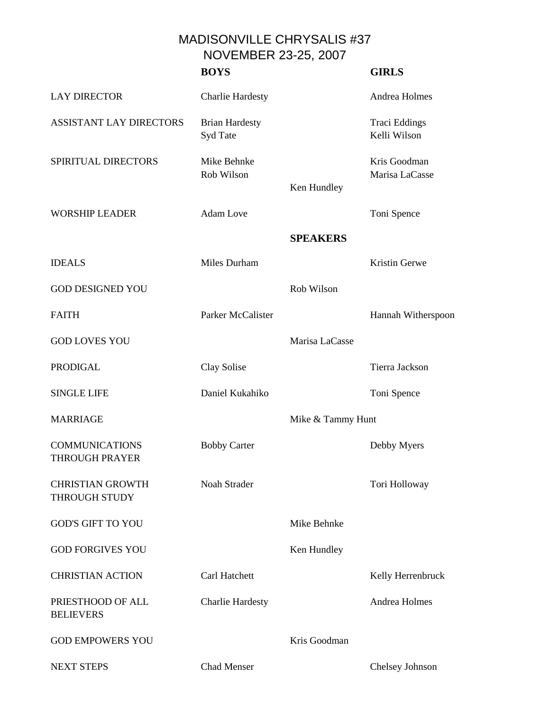MADISONVILLE CHRYSALIS #37 NOVEMBER 23-25, 2007

|                                                 | <b>BOYS</b>                       |                   | <b>GIRLS</b>                   |
|-------------------------------------------------|-----------------------------------|-------------------|--------------------------------|
| <b>LAY DIRECTOR</b>                             | <b>Charlie Hardesty</b>           |                   | Andrea Holmes                  |
| <b>ASSISTANT LAY DIRECTORS</b>                  | <b>Brian Hardesty</b><br>Syd Tate |                   | Traci Eddings<br>Kelli Wilson  |
| SPIRITUAL DIRECTORS                             | Mike Behnke<br>Rob Wilson         | Ken Hundley       | Kris Goodman<br>Marisa LaCasse |
| <b>WORSHIP LEADER</b>                           | <b>Adam</b> Love                  |                   | Toni Spence                    |
|                                                 |                                   | <b>SPEAKERS</b>   |                                |
| <b>IDEALS</b>                                   | Miles Durham                      |                   | Kristin Gerwe                  |
| <b>GOD DESIGNED YOU</b>                         |                                   | Rob Wilson        |                                |
| <b>FAITH</b>                                    | Parker McCalister                 |                   | Hannah Witherspoon             |
| <b>GOD LOVES YOU</b>                            |                                   | Marisa LaCasse    |                                |
| <b>PRODIGAL</b>                                 | Clay Solise                       |                   | Tierra Jackson                 |
| <b>SINGLE LIFE</b>                              | Daniel Kukahiko                   |                   | Toni Spence                    |
| <b>MARRIAGE</b>                                 |                                   | Mike & Tammy Hunt |                                |
| <b>COMMUNICATIONS</b><br><b>THROUGH PRAYER</b>  | <b>Bobby Carter</b>               |                   | Debby Myers                    |
| <b>CHRISTIAN GROWTH</b><br><b>THROUGH STUDY</b> | Noah Strader                      |                   | Tori Holloway                  |
| <b>GOD'S GIFT TO YOU</b>                        |                                   | Mike Behnke       |                                |
| <b>GOD FORGIVES YOU</b>                         |                                   | Ken Hundley       |                                |
| <b>CHRISTIAN ACTION</b>                         | Carl Hatchett                     |                   | Kelly Herrenbruck              |
| PRIESTHOOD OF ALL<br><b>BELIEVERS</b>           | <b>Charlie Hardesty</b>           |                   | Andrea Holmes                  |
| <b>GOD EMPOWERS YOU</b>                         |                                   | Kris Goodman      |                                |
| <b>NEXT STEPS</b>                               | <b>Chad Menser</b>                |                   | Chelsey Johnson                |